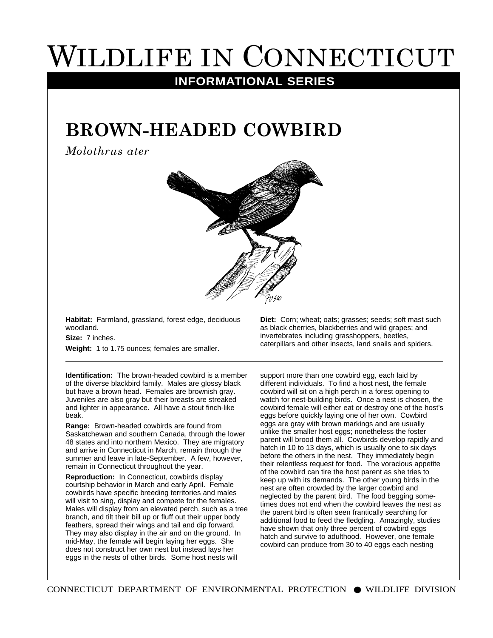## WILDLIFE IN CONNECTICUT

## **INFORMATIONAL SERIES**

## **BROWN-HEADED COWBIRD**

*Molothrus ater*



**Habitat:** Farmland, grassland, forest edge, deciduous woodland.

**Size:** 7 inches.

**Weight:** 1 to 1.75 ounces; females are smaller.

**Identification:** The brown-headed cowbird is a member of the diverse blackbird family. Males are glossy black but have a brown head. Females are brownish gray. Juveniles are also gray but their breasts are streaked and lighter in appearance. All have a stout finch-like beak.

**Range:** Brown-headed cowbirds are found from Saskatchewan and southern Canada, through the lower 48 states and into northern Mexico. They are migratory and arrive in Connecticut in March, remain through the summer and leave in late-September. A few, however, remain in Connecticut throughout the year.

**Reproduction:** In Connecticut, cowbirds display courtship behavior in March and early April. Female cowbirds have specific breeding territories and males will visit to sing, display and compete for the females. Males will display from an elevated perch, such as a tree branch, and tilt their bill up or fluff out their upper body feathers, spread their wings and tail and dip forward. They may also display in the air and on the ground. In mid-May, the female will begin laying her eggs. She does not construct her own nest but instead lays her eggs in the nests of other birds. Some host nests will

**Diet:** Corn; wheat; oats; grasses; seeds; soft mast such as black cherries, blackberries and wild grapes; and invertebrates including grasshoppers, beetles, caterpillars and other insects, land snails and spiders.

support more than one cowbird egg, each laid by different individuals. To find a host nest, the female cowbird will sit on a high perch in a forest opening to watch for nest-building birds. Once a nest is chosen, the cowbird female will either eat or destroy one of the host's eggs before quickly laying one of her own. Cowbird eggs are gray with brown markings and are usually unlike the smaller host eggs; nonetheless the foster parent will brood them all. Cowbirds develop rapidly and hatch in 10 to 13 days, which is usually one to six days before the others in the nest. They immediately begin their relentless request for food. The voracious appetite of the cowbird can tire the host parent as she tries to keep up with its demands. The other young birds in the nest are often crowded by the larger cowbird and neglected by the parent bird. The food begging sometimes does not end when the cowbird leaves the nest as the parent bird is often seen frantically searching for additional food to feed the fledgling. Amazingly, studies have shown that only three percent of cowbird eggs hatch and survive to adulthood. However, one female cowbird can produce from 30 to 40 eggs each nesting